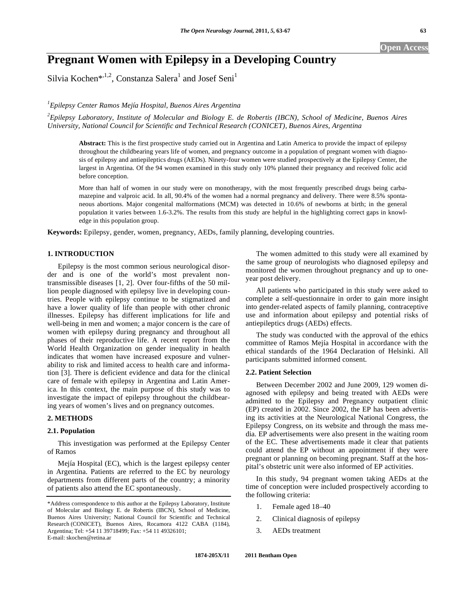# **Pregnant Women with Epilepsy in a Developing Country**

Silvia Kochen\*,<sup>1,2</sup>, Constanza Salera<sup>1</sup> and Josef Seni<sup>1</sup>

*1 Epilepsy Center Ramos Mejía Hospital, Buenos Aires Argentina* 

*2 Epilepsy Laboratory, Institute of Molecular and Biology E. de Robertis (IBCN), School of Medicine, Buenos Aires University, National Council for Scientific and Technical Research (CONICET), Buenos Aires, Argentina* 

**Abstract:** This is the first prospective study carried out in Argentina and Latin America to provide the impact of epilepsy throughout the childbearing years life of women, and pregnancy outcome in a population of pregnant women with diagnosis of epilepsy and antiepileptics drugs (AEDs). Ninety-four women were studied prospectively at the Epilepsy Center, the largest in Argentina. Of the 94 women examined in this study only 10% planned their pregnancy and received folic acid before conception.

More than half of women in our study were on monotherapy, with the most frequently prescribed drugs being carbamazepine and valproic acid. In all, 90.4% of the women had a normal pregnancy and delivery. There were 8.5% spontaneous abortions. Major congenital malformations (MCM) was detected in 10.6% of newborns at birth; in the general population it varies between 1.6-3.2%. The results from this study are helpful in the highlighting correct gaps in knowledge in this population group.

**Keywords:** Epilepsy, gender, women, pregnancy, AEDs, family planning, developing countries.

# **1. INTRODUCTION**

Epilepsy is the most common serious neurological disorder and is one of the world's most prevalent nontransmissible diseases [1, 2]. Over four-fifths of the 50 million people diagnosed with epilepsy live in developing countries. People with epilepsy continue to be stigmatized and have a lower quality of life than people with other chronic illnesses. Epilepsy has different implications for life and well-being in men and women; a major concern is the care of women with epilepsy during pregnancy and throughout all phases of their reproductive life. A recent report from the World Health Organization on gender inequality in health indicates that women have increased exposure and vulnerability to risk and limited access to health care and information [3]. There is deficient evidence and data for the clinical care of female with epilepsy in Argentina and Latin America. In this context, the main purpose of this study was to investigate the impact of epilepsy throughout the childbearing years of women's lives and on pregnancy outcomes.

# **2. METHODS**

#### **2.1. Population**

This investigation was performed at the Epilepsy Center of Ramos

Mejía Hospital (EC), which is the largest epilepsy center in Argentina. Patients are referred to the EC by neurology departments from different parts of the country; a minority of patients also attend the EC spontaneously.

The women admitted to this study were all examined by the same group of neurologists who diagnosed epilepsy and monitored the women throughout pregnancy and up to oneyear post delivery.

All patients who participated in this study were asked to complete a self-questionnaire in order to gain more insight into gender-related aspects of family planning, contraceptive use and information about epilepsy and potential risks of antiepileptics drugs (AEDs) effects.

The study was conducted with the approval of the ethics committee of Ramos Mejía Hospital in accordance with the ethical standards of the 1964 Declaration of Helsinki. All participants submitted informed consent.

# **2.2. Patient Selection**

Between December 2002 and June 2009, 129 women diagnosed with epilepsy and being treated with AEDs were admitted to the Epilepsy and Pregnancy outpatient clinic (EP) created in 2002. Since 2002, the EP has been advertising its activities at the Neurological National Congress, the Epilepsy Congress, on its website and through the mass media. EP advertisements were also present in the waiting room of the EC. These advertisements made it clear that patients could attend the EP without an appointment if they were pregnant or planning on becoming pregnant. Staff at the hospital's obstetric unit were also informed of EP activities.

In this study, 94 pregnant women taking AEDs at the time of conception were included prospectively according to the following criteria:

- 1. Female aged 18–40
- 2. Clinical diagnosis of epilepsy
- 3. AEDs treatment

<sup>\*</sup>Address correspondence to this author at the Epilepsy Laboratory, Institute of Molecular and Biology E. de Robertis (IBCN), School of Medicine, Buenos Aires University; National Council for Scientific and Technical Research (CONICET), Buenos Aires, Rocamora 4122 CABA (1184), Argentina; Tel: +54 11 39718499; Fax: +54 11 49326101; E-mail: skochen@retina.ar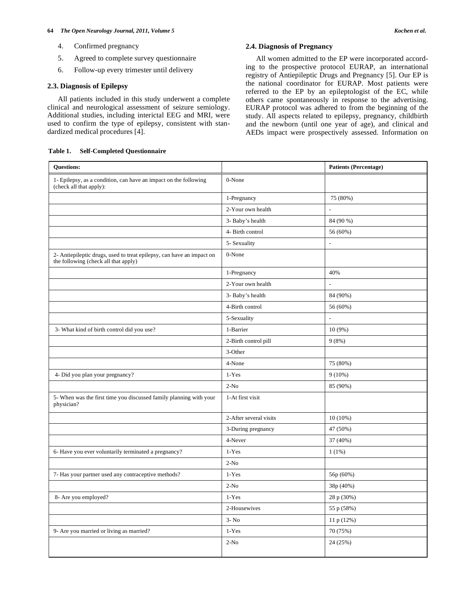#### **64** *The Open Neurology Journal, 2011, Volume 5 Kochen et al.*

- 4. Confirmed pregnancy
- 5. Agreed to complete survey questionnaire
- 6. Follow-up every trimester until delivery

# **2.3. Diagnosis of Epilepsy**

All patients included in this study underwent a complete clinical and neurological assessment of seizure semiology. Additional studies, including interictal EEG and MRI, were used to confirm the type of epilepsy, consistent with standardized medical procedures [4].

# **Table 1. Self-Completed Questionnaire**

# **2.4. Diagnosis of Pregnancy**

All women admitted to the EP were incorporated according to the prospective protocol EURAP, an international registry of Antiepileptic Drugs and Pregnancy [5]. Our EP is the national coordinator for EURAP. Most patients were referred to the EP by an epileptologist of the EC, while others came spontaneously in response to the advertising. EURAP protocol was adhered to from the beginning of the study. All aspects related to epilepsy, pregnancy, childbirth and the newborn (until one year of age), and clinical and AEDs impact were prospectively assessed. Information on

| <b>Questions:</b>                                                                                             |                         | <b>Patients (Percentage)</b> |
|---------------------------------------------------------------------------------------------------------------|-------------------------|------------------------------|
| 1- Epilepsy, as a condition, can have an impact on the following<br>(check all that apply):                   | 0-None                  |                              |
|                                                                                                               | 1-Pregnancy             | 75 (80%)                     |
|                                                                                                               | 2-Your own health       |                              |
|                                                                                                               | 3- Baby's health        | 84 (90 %)                    |
|                                                                                                               | 4- Birth control        | 56 (60%)                     |
|                                                                                                               | 5- Sexuality            | $\overline{a}$               |
| 2- Antiepileptic drugs, used to treat epilepsy, can have an impact on<br>the following (check all that apply) | 0-None                  |                              |
|                                                                                                               | 1-Pregnancy             | 40%                          |
|                                                                                                               | 2-Your own health       |                              |
|                                                                                                               | 3- Baby's health        | 84 (90%)                     |
|                                                                                                               | 4-Birth control         | 56 (60%)                     |
|                                                                                                               | 5-Sexuality             | L,                           |
| 3- What kind of birth control did you use?                                                                    | 1-Barrier               | $10(9\%)$                    |
|                                                                                                               | 2-Birth control pill    | 9(8%)                        |
|                                                                                                               | 3-Other                 |                              |
|                                                                                                               | 4-None                  | 75 (80%)                     |
| 4- Did you plan your pregnancy?                                                                               | $1-Yes$                 | $9(10\%)$                    |
|                                                                                                               | $2-N0$                  | 85 (90%)                     |
| 5- When was the first time you discussed family planning with your<br>physician?                              | 1-At first visit        |                              |
|                                                                                                               | 2-After several visits  | $10(10\%)$                   |
|                                                                                                               | 3-During pregnancy      | 47 (50%)                     |
|                                                                                                               | 4-Never                 | 37 (40%)                     |
| 6- Have you ever voluntarily terminated a pregnancy?                                                          | $1-Yes$                 | 1(1%)                        |
|                                                                                                               | $2-N0$                  |                              |
| 7- Has your partner used any contraceptive methods?                                                           | $1-Yes$                 | 56p (60%)                    |
|                                                                                                               | $2-N0$                  | 38p (40%)                    |
| 8- Are you employed?                                                                                          | $1-Yes$                 | 28 p (30%)                   |
|                                                                                                               | 2-Housewives            | 55 p (58%)                   |
|                                                                                                               | $3 - No$                | 11 p (12%)                   |
| 9- Are you married or living as married?                                                                      | $1\mbox{-}\mathrm{Yes}$ | 70 (75%)                     |
|                                                                                                               | $2-N0$                  | 24 (25%)                     |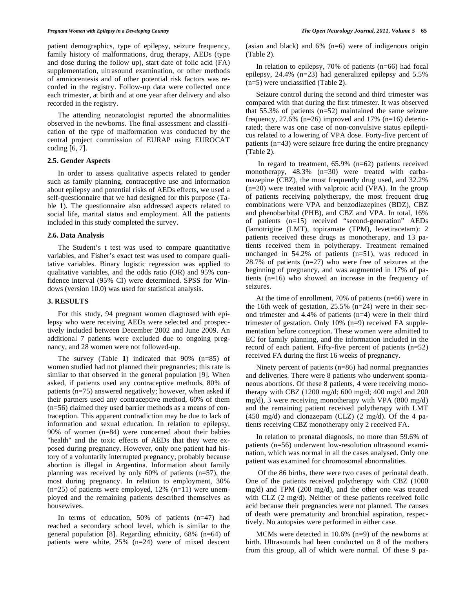patient demographics, type of epilepsy, seizure frequency, family history of malformations, drug therapy, AEDs (type and dose during the follow up), start date of folic acid (FA) supplementation, ultrasound examination, or other methods of amniocentesis and of other potential risk factors was recorded in the registry. Follow-up data were collected once each trimester, at birth and at one year after delivery and also recorded in the registry.

The attending neonatologist reported the abnormalities observed in the newborns. The final assessment and classification of the type of malformation was conducted by the central project commission of EURAP using EUROCAT coding [6, 7].

#### **2.5. Gender Aspects**

In order to assess qualitative aspects related to gender such as family planning, contraceptive use and information about epilepsy and potential risks of AEDs effects, we used a self-questionnaire that we had designed for this purpose (Table **1**). The questionnaire also addressed aspects related to social life, marital status and employment. All the patients included in this study completed the survey.

#### **2.6. Data Analysis**

The Student's t test was used to compare quantitative variables, and Fisher's exact test was used to compare qualitative variables. Binary logistic regression was applied to qualitative variables, and the odds ratio (OR) and 95% confidence interval (95% CI) were determined. SPSS for Windows (version 10.0) was used for statistical analysis.

#### **3. RESULTS**

For this study, 94 pregnant women diagnosed with epilepsy who were receiving AEDs were selected and prospectively included between December 2002 and June 2009. An additional 7 patients were excluded due to ongoing pregnancy, and 28 women were not followed-up.

The survey (Table **1**) indicated that 90% (n=85) of women studied had not planned their pregnancies; this rate is similar to that observed in the general population [9]. When asked, if patients used any contraceptive methods, 80% of patients (n=75) answered negatively; however, when asked if their partners used any contraceptive method, 60% of them (n=56) claimed they used barrier methods as a means of contraception. This apparent contradiction may be due to lack of information and sexual education. In relation to epilepsy, 90% of women (n=84) were concerned about their babies "health" and the toxic effects of AEDs that they were exposed during pregnancy. However, only one patient had history of a voluntarily interrupted pregnancy, probably because abortion is illegal in Argentina. Information about family planning was received by only  $60\%$  of patients (n=57), the most during pregnancy. In relation to employment, 30%  $(n=25)$  of patients were employed, 12%  $(n=11)$  were unemployed and the remaining patients described themselves as housewives.

In terms of education, 50% of patients (n=47) had reached a secondary school level, which is similar to the general population [8]. Regarding ethnicity, 68% (n=64) of patients were white, 25% (n=24) were of mixed descent (asian and black) and 6% (n=6) were of indigenous origin (Table **2**).

In relation to epilepsy,  $70\%$  of patients (n=66) had focal epilepsy, 24.4% (n=23) had generalized epilepsy and 5.5% (n=5) were unclassified (Table **2**).

Seizure control during the second and third trimester was compared with that during the first trimester. It was observed that 55.3% of patients (n=52) maintained the same seizure frequency, 27.6% (n=26) improved and 17% (n=16) deteriorated; there was one case of non-convulsive status epilepticus related to a lowering of VPA dose. Forty-five percent of patients (n=43) were seizure free during the entire pregnancy (Table **2**).

 In regard to treatment, 65.9% (n=62) patients received monotherapy, 48.3% (n=30) were treated with carbamazepine (CBZ), the most frequently drug used, and 32.2%  $(n=20)$  were treated with valproic acid (VPA). In the group of patients receiving polytherapy, the most frequent drug combinations were VPA and benzodiazepines (BDZ), CBZ and phenobarbital (PHB), and CBZ and VPA. In total, 16% of patients (n=15) received "second-generation" AEDs (lamotrigine (LMT), topiramate (TPM), levetiracetam): 2 patients received these drugs as monotherapy, and 13 patients received them in polytherapy. Treatment remained unchanged in 54.2% of patients (n=51), was reduced in 28.7% of patients (n=27) who were free of seizures at the beginning of pregnancy, and was augmented in 17% of patients (n=16) who showed an increase in the frequency of seizures.

At the time of enrollment, 70% of patients (n=66) were in the 16th week of gestation, 25.5% (n=24) were in their second trimester and 4.4% of patients (n=4) were in their third trimester of gestation. Only 10% (n=9) received FA supplementation before conception. These women were admitted to EC for family planning, and the information included in the record of each patient. Fifty-five percent of patients (n=52) received FA during the first 16 weeks of pregnancy.

Ninety percent of patients (n=86) had normal pregnancies and deliveries. There were 8 patients who underwent spontaneous abortions. Of these 8 patients, 4 were receiving monotherapy with CBZ (1200 mg/d; 600 mg/d; 400 mg/d and 200 mg/d), 3 were receiving monotherapy with VPA (800 mg/d) and the remaining patient received polytherapy with LMT (450 mg/d) and clonazepam (CLZ) (2 mg/d). Of the 4 patients receiving CBZ monotherapy only 2 received FA.

In relation to prenatal diagnosis, no more than 59.6% of patients (n=56) underwent low-resolution ultrasound examination, which was normal in all the cases analysed. Only one patient was examined for chromosomal abnormalities.

 Of the 86 births, there were two cases of perinatal death. One of the patients received polytherapy with CBZ (1000 mg/d) and TPM (200 mg/d), and the other one was treated with CLZ (2 mg/d). Neither of these patients received folic acid because their pregnancies were not planned. The causes of death were prematurity and bronchial aspiration, respectively. No autopsies were performed in either case.

MCMs were detected in 10.6% (n=9) of the newborns at birth. Ultrasounds had been conducted on 8 of the mothers from this group, all of which were normal. Of these 9 pa-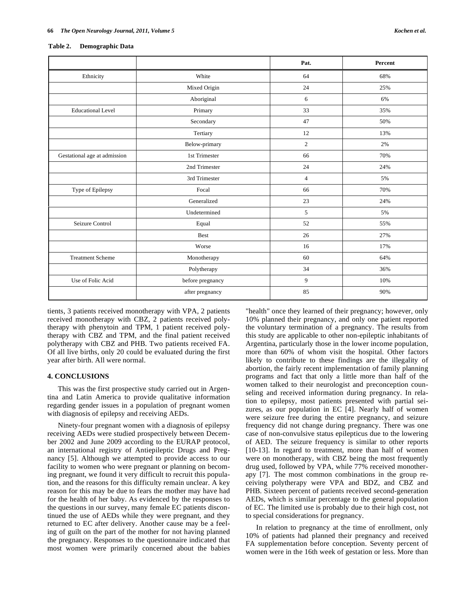#### **Table 2. Demographic Data**

|                              |                  | Pat.           | Percent |
|------------------------------|------------------|----------------|---------|
| Ethnicity                    | White            | 64             | 68%     |
|                              | Mixed Origin     | 24             | 25%     |
|                              | Aboriginal       | 6              | 6%      |
| <b>Educational Level</b>     | Primary          | 33             | 35%     |
|                              | Secondary        | 47             | 50%     |
|                              | Tertiary         | 12             | 13%     |
|                              | Below-primary    | $\overline{c}$ | 2%      |
| Gestational age at admission | 1st Trimester    | 66             | 70%     |
|                              | 2nd Trimester    | 24             | 24%     |
|                              | 3rd Trimester    | $\overline{4}$ | 5%      |
| Type of Epilepsy             | Focal            | 66             | 70%     |
|                              | Generalized      | 23             | 24%     |
|                              | Undetermined     | 5              | 5%      |
| Seizure Control              | Equal            | 52             | 55%     |
|                              | Best             | 26             | 27%     |
|                              | Worse            | 16             | 17%     |
| <b>Treatment Scheme</b>      | Monotherapy      | 60             | 64%     |
|                              | Polytherapy      | 34             | 36%     |
| Use of Folic Acid            | before pregnancy | 9              | 10%     |
|                              | after pregnancy  | 85             | 90%     |

tients, 3 patients received monotherapy with VPA, 2 patients received monotherapy with CBZ, 2 patients received polytherapy with phenytoin and TPM, 1 patient received polytherapy with CBZ and TPM, and the final patient received polytherapy with CBZ and PHB. Two patients received FA. Of all live births, only 20 could be evaluated during the first year after birth. All were normal.

#### **4. CONCLUSIONS**

This was the first prospective study carried out in Argentina and Latin America to provide qualitative information regarding gender issues in a population of pregnant women with diagnosis of epilepsy and receiving AEDs.

Ninety-four pregnant women with a diagnosis of epilepsy receiving AEDs were studied prospectively between December 2002 and June 2009 according to the EURAP protocol, an international registry of Antiepileptic Drugs and Pregnancy [5]. Although we attempted to provide access to our facility to women who were pregnant or planning on becoming pregnant, we found it very difficult to recruit this population, and the reasons for this difficulty remain unclear. A key reason for this may be due to fears the mother may have had for the health of her baby. As evidenced by the responses to the questions in our survey, many female EC patients discontinued the use of AEDs while they were pregnant, and they returned to EC after delivery. Another cause may be a feeling of guilt on the part of the mother for not having planned the pregnancy. Responses to the questionnaire indicated that most women were primarily concerned about the babies "health" once they learned of their pregnancy; however, only 10% planned their pregnancy, and only one patient reported the voluntary termination of a pregnancy. The results from this study are applicable to other non-epileptic inhabitants of Argentina, particularly those in the lower income population, more than 60% of whom visit the hospital. Other factors likely to contribute to these findings are the illegality of abortion, the fairly recent implementation of family planning programs and fact that only a little more than half of the women talked to their neurologist and preconception counseling and received information during pregnancy. In relation to epilepsy, most patients presented with partial seizures, as our population in EC [4]. Nearly half of women were seizure free during the entire pregnancy, and seizure frequency did not change during pregnancy. There was one case of non-convulsive status epilepticus due to the lowering of AED. The seizure frequency is similar to other reports [10-13]. In regard to treatment, more than half of women were on monotherapy, with CBZ being the most frequently drug used, followed by VPA, while 77% received monotherapy [7]. The most common combinations in the group receiving polytherapy were VPA and BDZ, and CBZ and PHB. Sixteen percent of patients received second-generation AEDs, which is similar percentage to the general population of EC. The limited use is probably due to their high cost, not to special considerations for pregnancy.

In relation to pregnancy at the time of enrollment, only 10% of patients had planned their pregnancy and received FA supplementation before conception. Seventy percent of women were in the 16th week of gestation or less. More than